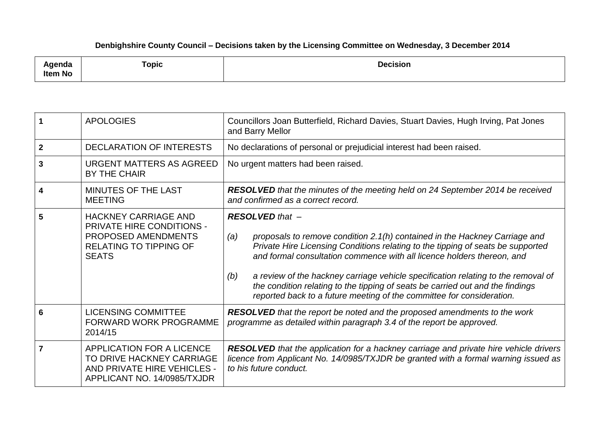## **Denbighshire County Council – Decisions taken by the Licensing Committee on Wednesday, 3 December 2014**

| مامسمسا<br>;nua<br><b>Item No</b> | <b>Topic</b> | <b>Decision</b><br>. |
|-----------------------------------|--------------|----------------------|
|-----------------------------------|--------------|----------------------|

|                | <b>APOLOGIES</b>                                                                                                                        | Councillors Joan Butterfield, Richard Davies, Stuart Davies, Hugh Irving, Pat Jones<br>and Barry Mellor                                                                                                                                                                                                                                                                                                                                                                                                                         |
|----------------|-----------------------------------------------------------------------------------------------------------------------------------------|---------------------------------------------------------------------------------------------------------------------------------------------------------------------------------------------------------------------------------------------------------------------------------------------------------------------------------------------------------------------------------------------------------------------------------------------------------------------------------------------------------------------------------|
| $\mathbf{2}$   | <b>DECLARATION OF INTERESTS</b>                                                                                                         | No declarations of personal or prejudicial interest had been raised.                                                                                                                                                                                                                                                                                                                                                                                                                                                            |
| 3              | URGENT MATTERS AS AGREED<br><b>BY THE CHAIR</b>                                                                                         | No urgent matters had been raised.                                                                                                                                                                                                                                                                                                                                                                                                                                                                                              |
| 4              | <b>MINUTES OF THE LAST</b><br><b>MEETING</b>                                                                                            | <b>RESOLVED</b> that the minutes of the meeting held on 24 September 2014 be received<br>and confirmed as a correct record.                                                                                                                                                                                                                                                                                                                                                                                                     |
| 5              | <b>HACKNEY CARRIAGE AND</b><br><b>PRIVATE HIRE CONDITIONS -</b><br>PROPOSED AMENDMENTS<br><b>RELATING TO TIPPING OF</b><br><b>SEATS</b> | <b>RESOLVED that -</b><br>proposals to remove condition 2.1(h) contained in the Hackney Carriage and<br>(a)<br>Private Hire Licensing Conditions relating to the tipping of seats be supported<br>and formal consultation commence with all licence holders thereon, and<br>a review of the hackney carriage vehicle specification relating to the removal of<br>(b)<br>the condition relating to the tipping of seats be carried out and the findings<br>reported back to a future meeting of the committee for consideration. |
| 6              | <b>LICENSING COMMITTEE</b><br><b>FORWARD WORK PROGRAMME</b><br>2014/15                                                                  | <b>RESOLVED</b> that the report be noted and the proposed amendments to the work<br>programme as detailed within paragraph 3.4 of the report be approved.                                                                                                                                                                                                                                                                                                                                                                       |
| $\overline{7}$ | APPLICATION FOR A LICENCE<br>TO DRIVE HACKNEY CARRIAGE<br>AND PRIVATE HIRE VEHICLES -<br>APPLICANT NO. 14/0985/TXJDR                    | <b>RESOLVED</b> that the application for a hackney carriage and private hire vehicle drivers<br>licence from Applicant No. 14/0985/TXJDR be granted with a formal warning issued as<br>to his future conduct.                                                                                                                                                                                                                                                                                                                   |